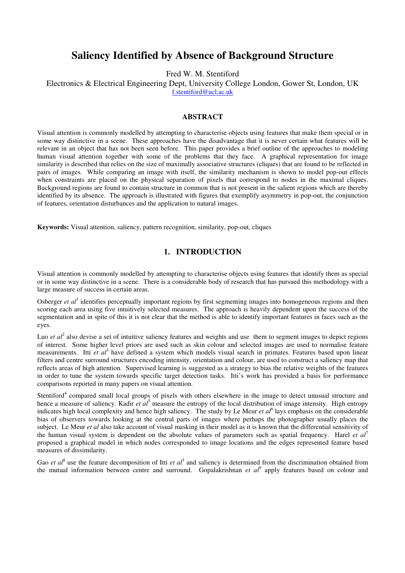# **Saliency Identified by Absence of Background Structure**

Fred W. M. Stentiford

#### Electronics & Electrical Engineering Dept, University College London, Gower St, London, UK f.stentiford@ucl.ac.uk

# **ABSTRACT**

Visual attention is commonly modelled by attempting to characterise objects using features that make them special or in some way distinctive in a scene. These approaches have the disadvantage that it is never certain what features will be relevant in an object that has not been seen before. This paper provides a brief outline of the approaches to modeling human visual attention together with some of the problems that they face. A graphical representation for image similarity is described that relies on the size of maximally associative structures (cliques) that are found to be reflected in pairs of images. While comparing an image with itself, the similarity mechanism is shown to model pop-out effects when constraints are placed on the physical separation of pixels that correspond to nodes in the maximal cliques. Background regions are found to contain structure in common that is not present in the salient regions which are thereby identified by its absence. The approach is illustrated with figures that exemplify asymmetry in pop-out, the conjunction of features, orientation disturbances and the application to natural images.

**Keywords:** Visual attention, saliency, pattern recognition, similarity, pop-out, cliques

## **1. INTRODUCTION**

Visual attention is commonly modelled by attempting to characterise objects using features that identify them as special or in some way distinctive in a scene. There is a considerable body of research that has pursued this methodology with a large measure of success in certain areas.

Osberger et al<sup>1</sup> identifies perceptually important regions by first segmenting images into homogeneous regions and then scoring each area using five intuitively selected measures. The approach is heavily dependent upon the success of the segmentation and in spite of this it is not clear that the method is able to identify important features in faces such as the eyes.

Luo *et al*<sup>2</sup> also devise a set of intuitive saliency features and weights and use them to segment images to depict regions of interest. Some higher level priors are used such as skin colour and selected images are used to normalise feature measurements. Itti et al<sup>3</sup> have defined a system which models visual search in primates. Features based upon linear filters and centre surround structures encoding intensity, orientation and colour, are used to construct a saliency map that reflects areas of high attention. Supervised learning is suggested as a strategy to bias the relative weights of the features in order to tune the system towards specific target detection tasks. Itti's work has provided a basis for performance comparisons reported in many papers on visual attention.

Stentiford<sup>4</sup> compared small local groups of pixels with others elsewhere in the image to detect unusual structure and hence a measure of saliency. Kadir *et al*<sup>5</sup> measure the entropy of the local distribution of image intensity. High entropy indicates high local complexity and hence high saliency. The study by Le Meur *et al*<sup>6</sup> lays emphasis on the considerable bias of observers towards looking at the central parts of images where perhaps the photographer usually places the subject. Le Meur *et al* also take account of visual masking in their model as it is known that the differential sensitivity of the human visual system is dependent on the absolute values of parameters such as spatial frequency. Harel *et al*<sup>7</sup> proposed a graphical model in which nodes corresponded to image locations and the edges represented feature based measures of dissimilarity.

Gao *et al*<sup>8</sup> use the feature decomposition of Itti *et al*<sup>3</sup> and saliency is determined from the discrimination obtained from the mutual information between centre and surround. Gopalakrishnan *et al*<sup>9</sup> apply features based on colour and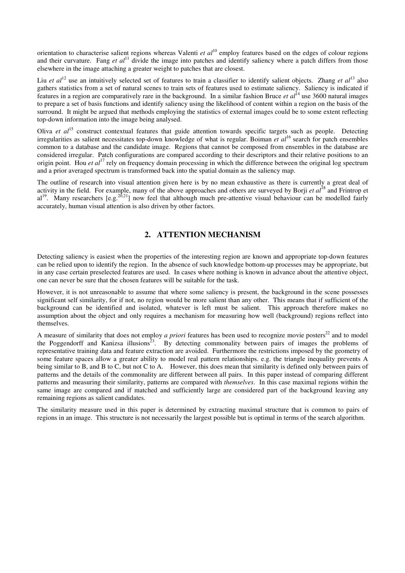orientation to characterise salient regions whereas Valenti *et al*<sup>10</sup> employ features based on the edges of colour regions and their curvature. Fang *et al*<sup>11</sup> divide the image into patches and identify saliency where a patch differs from those elsewhere in the image attaching a greater weight to patches that are closest.

Liu *et al*<sup>12</sup> use an intuitively selected set of features to train a classifier to identify salient objects. Zhang *et al*<sup>13</sup> also gathers statistics from a set of natural scenes to train sets of features used to estimate saliency. Saliency is indicated if features in a region are comparatively rare in the background. In a similar fashion Bruce *et al*<sup>14</sup> use 3600 natural images to prepare a set of basis functions and identify saliency using the likelihood of content within a region on the basis of the surround. It might be argued that methods employing the statistics of external images could be to some extent reflecting top-down information into the image being analysed.

Oliva *et al*<sup>15</sup> construct contextual features that guide attention towards specific targets such as people. Detecting irregularities as salient necessitates top-down knowledge of what is regular. Boiman *et al*<sup>16</sup> search for patch ensembles common to a database and the candidate image. Regions that cannot be composed from ensembles in the database are considered irregular. Patch configurations are compared according to their descriptors and their relative positions to an origin point. Hou *et al*<sup>17</sup> rely on frequency domain processing in which the difference between the original log spectrum and a prior averaged spectrum is transformed back into the spatial domain as the saliency map.

The outline of research into visual attention given here is by no mean exhaustive as there is currently a great deal of activity in the field. For example, many of the above approaches and others are surveyed by Borji *et al*<sup>18</sup> and Frintrop et al<sup>19</sup>. Many researchers  $[e.g.<sup>20,21</sup>]$  now feel that although much pre-attentive visual behaviour can be modelled fairly accurately, human visual attention is also driven by other factors.

# **2. ATTENTION MECHANISM**

Detecting saliency is easiest when the properties of the interesting region are known and appropriate top-down features can be relied upon to identify the region. In the absence of such knowledge bottom-up processes may be appropriate, but in any case certain preselected features are used. In cases where nothing is known in advance about the attentive object, one can never be sure that the chosen features will be suitable for the task.

However, it is not unreasonable to assume that where some saliency is present, the background in the scene possesses significant self similarity, for if not, no region would be more salient than any other. This means that if sufficient of the background can be identified and isolated, whatever is left must be salient. This approach therefore makes no assumption about the object and only requires a mechanism for measuring how well (background) regions reflect into themselves.

A measure of similarity that does not employ *a priori* features has been used to recognize movie posters<sup>22</sup> and to model the Poggendorff and Kanizsa illusions<sup>23</sup>. By detecting commonality between pairs of images the problems of representative training data and feature extraction are avoided. Furthermore the restrictions imposed by the geometry of some feature spaces allow a greater ability to model real pattern relationships. e.g. the triangle inequality prevents A being similar to B, and B to C, but not C to A. However, this does mean that similarity is defined only between pairs of patterns and the details of the commonality are different between all pairs. In this paper instead of comparing different patterns and measuring their similarity, patterns are compared with *themselves*. In this case maximal regions within the same image are compared and if matched and sufficiently large are considered part of the background leaving any remaining regions as salient candidates.

The similarity measure used in this paper is determined by extracting maximal structure that is common to pairs of regions in an image. This structure is not necessarily the largest possible but is optimal in terms of the search algorithm.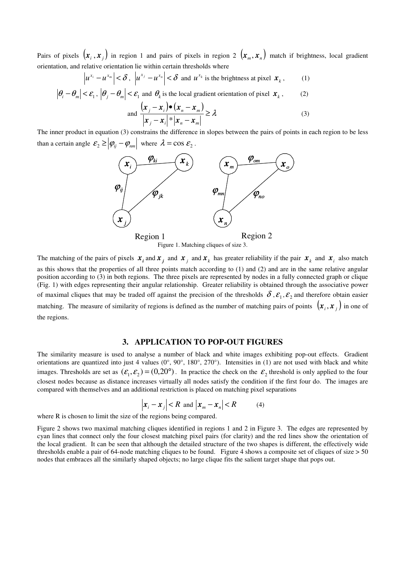Pairs of pixels  $(x_i, x_j)$  in region 1 and pairs of pixels in region 2  $(x_m, x_n)$  match if brightness, local gradient orientation, and relative orientation lie within certain thresholds where

$$
\left| u^{x_i} - u^{x_m} \right| < \delta, \ \left| u^{x_j} - u^{x_n} \right| < \delta \ \text{and} \ u^{x_k} \text{ is the brightness at pixel } \mathbf{x}_k \,, \tag{1}
$$

$$
\left|\theta_{i} - \theta_{m}\right| < \mathcal{E}_{1}, \left|\theta_{j} - \theta_{m}\right| < \mathcal{E}_{1} \text{ and } \theta_{k} \text{ is the local gradient orientation of pixel } \mathbf{x}_{k}, \qquad (2)
$$
\n
$$
\text{and } \frac{\left(\mathbf{x}_{j} - \mathbf{x}_{i}\right) \bullet \left(\mathbf{x}_{n} - \mathbf{x}_{m}\right)}{\left|\mathbf{x}_{j} - \mathbf{x}_{i}\right|} \geq \lambda \tag{3}
$$

and 
$$
\frac{(x_j - x_i)^{(k-1)} (x_n - x_m)}{|x_j - x_i|^{k} |x_n - x_m|} \ge \lambda
$$
 (3)

The inner product in equation (3) constrains the difference in slopes between the pairs of points in each region to be less than a certain angle  $\mathcal{E}_2 \ge |\varphi_{ij} - \varphi_{nm}|$  where  $\lambda = \cos \mathcal{E}_2$ .



Figure 1. Matching cliques of size 3.

The matching of the pairs of pixels  $x_i$  and  $x_j$  and  $x_k$  has greater reliability if the pair  $x_k$  and  $x_i$  also match as this shows that the properties of all three points match according to (1) and (2) and are in the same relative angular position according to (3) in both regions. The three pixels are represented by nodes in a fully connected graph or clique (Fig. 1) with edges representing their angular relationship. Greater reliability is obtained through the associative power of maximal cliques that may be traded off against the precision of the thresholds  $\delta$ ,  $\epsilon_1$ ,  $\epsilon_2$  and therefore obtain easier matching. The measure of similarity of regions is defined as the number of matching pairs of points  $(x_i, x_j)$  in one of the regions.

### **3. APPLICATION TO POP-OUT FIGURES**

The similarity measure is used to analyse a number of black and white images exhibiting pop-out effects. Gradient orientations are quantized into just 4 values (0°, 90°, 180°, 270°). Intensities in (1) are not used with black and white images. Thresholds are set as  $(\mathcal{E}_1, \mathcal{E}_2) = (0, 20^\circ)$ . In practice the check on the  $\mathcal{E}_2$  threshold is only applied to the four closest nodes because as distance increases virtually all nodes satisfy the condition if the first four do. The images are compared with themselves and an additional restriction is placed on matching pixel separations

$$
\left| x_i - x_j \right| < R \text{ and } \left| x_m - x_n \right| < R \tag{4}
$$

where R is chosen to limit the size of the regions being compared.

Figure 2 shows two maximal matching cliques identified in regions 1 and 2 in Figure 3. The edges are represented by cyan lines that connect only the four closest matching pixel pairs (for clarity) and the red lines show the orientation of the local gradient. It can be seen that although the detailed structure of the two shapes is different, the effectively wide thresholds enable a pair of 64-node matching cliques to be found. Figure 4 shows a composite set of cliques of size > 50 nodes that embraces all the similarly shaped objects; no large clique fits the salient target shape that pops out.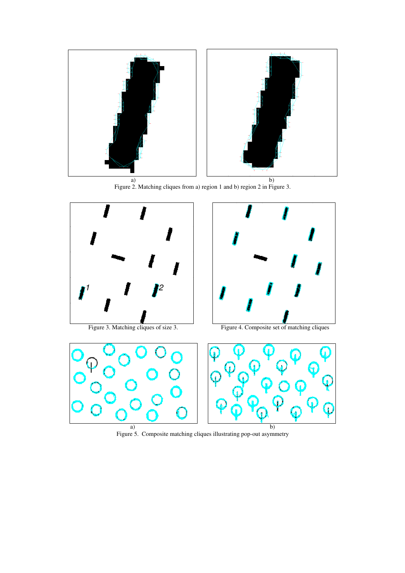

Figure 2. Matching cliques from a) region 1 and b) region 2 in Figure 3.



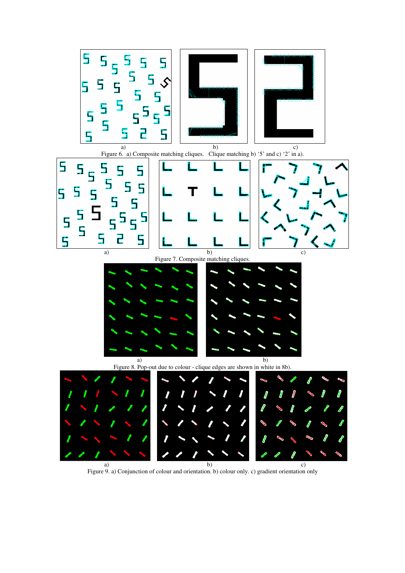

Figure 9. a) Conjunction of colour and orientation. b) colour only. c) gradient orientation only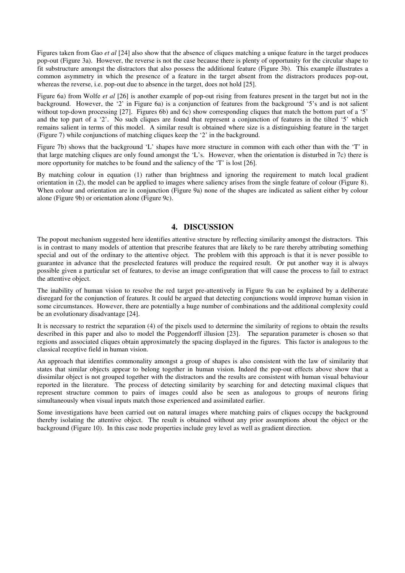Figures taken from Gao *et al* [24] also show that the absence of cliques matching a unique feature in the target produces pop-out (Figure 3a). However, the reverse is not the case because there is plenty of opportunity for the circular shape to fit substructure amongst the distractors that also possess the additional feature (Figure 3b). This example illustrates a common asymmetry in which the presence of a feature in the target absent from the distractors produces pop-out, whereas the reverse, i.e. pop-out due to absence in the target, does not hold [25].

Figure 6a) from Wolfe *et al* [26] is another example of pop-out rising from features present in the target but not in the background. However, the '2' in Figure 6a) is a conjunction of features from the background '5's and is not salient without top-down processing [27]. Figures 6b) and 6c) show corresponding cliques that match the bottom part of a '5' and the top part of a '2'. No such cliques are found that represent a conjunction of features in the tilted '5' which remains salient in terms of this model. A similar result is obtained where size is a distinguishing feature in the target (Figure 7) while conjunctions of matching cliques keep the '2' in the background.

Figure 7b) shows that the background 'L' shapes have more structure in common with each other than with the 'T' in that large matching cliques are only found amongst the 'L's. However, when the orientation is disturbed in 7c) there is more opportunity for matches to be found and the saliency of the 'T' is lost [26].

By matching colour in equation (1) rather than brightness and ignoring the requirement to match local gradient orientation in (2), the model can be applied to images where saliency arises from the single feature of colour (Figure 8). When colour and orientation are in conjunction (Figure 9a) none of the shapes are indicated as salient either by colour alone (Figure 9b) or orientation alone (Figure 9c).

## **4. DISCUSSION**

The popout mechanism suggested here identifies attentive structure by reflecting similarity amongst the distractors. This is in contrast to many models of attention that prescribe features that are likely to be rare thereby attributing something special and out of the ordinary to the attentive object. The problem with this approach is that it is never possible to guarantee in advance that the preselected features will produce the required result. Or put another way it is always possible given a particular set of features, to devise an image configuration that will cause the process to fail to extract the attentive object.

The inability of human vision to resolve the red target pre-attentively in Figure 9a can be explained by a deliberate disregard for the conjunction of features. It could be argued that detecting conjunctions would improve human vision in some circumstances. However, there are potentially a huge number of combinations and the additional complexity could be an evolutionary disadvantage [24].

It is necessary to restrict the separation (4) of the pixels used to determine the similarity of regions to obtain the results described in this paper and also to model the Poggendorff illusion [23]. The separation parameter is chosen so that regions and associated cliques obtain approximately the spacing displayed in the figures. This factor is analogous to the classical receptive field in human vision.

An approach that identifies commonality amongst a group of shapes is also consistent with the law of similarity that states that similar objects appear to belong together in human vision. Indeed the pop-out effects above show that a dissimilar object is not grouped together with the distractors and the results are consistent with human visual behaviour reported in the literature. The process of detecting similarity by searching for and detecting maximal cliques that represent structure common to pairs of images could also be seen as analogous to groups of neurons firing simultaneously when visual inputs match those experienced and assimilated earlier.

Some investigations have been carried out on natural images where matching pairs of cliques occupy the background thereby isolating the attentive object. The result is obtained without any prior assumptions about the object or the background (Figure 10). In this case node properties include grey level as well as gradient direction.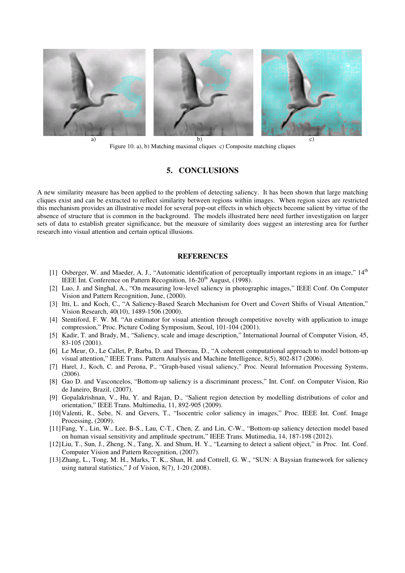

Figure 10. a), b) Matching maximal cliques c) Composite matching cliques

## **5. CONCLUSIONS**

A new similarity measure has been applied to the problem of detecting saliency. It has been shown that large matching cliques exist and can be extracted to reflect similarity between regions within images. When region sizes are restricted this mechanism provides an illustrative model for several pop-out effects in which objects become salient by virtue of the absence of structure that is common in the background. The models illustrated here need further investigation on larger sets of data to establish greater significance, but the measure of similarity does suggest an interesting area for further research into visual attention and certain optical illusions.

### **REFERENCES**

- [1] Osberger, W. and Maeder, A. J., "Automatic identification of perceptually important regions in an image,"  $14<sup>th</sup>$ IEEE Int. Conference on Pattern Recognition, 16-20<sup>th</sup> August, (1998).
- [2] Luo, J. and Singhal, A., "On measuring low-level saliency in photographic images," IEEE Conf. On Computer Vision and Pattern Recognition, June, (2000).
- [3] Itti, L. and Koch, C., "A Saliency-Based Search Mechanism for Overt and Covert Shifts of Visual Attention," Vision Research, 40(10), 1489-1506 (2000).
- [4] Stentiford, F. W. M. "An estimator for visual attention through competitive novelty with application to image compression," Proc. Picture Coding Symposium, Seoul, 101-104 (2001).
- [5] Kadir, T. and Brady, M., "Saliency, scale and image description," International Journal of Computer Vision, 45, 83-105 (2001).
- [6] Le Meur, O., Le Callet, P, Barba, D. and Thoreau, D., "A coherent computational approach to model bottom-up visual attention," IEEE Trans. Pattern Analysis and Machine Intelligence, 8(5), 802-817 (2006).
- [7] Harel, J., Koch, C. and Perona, P., "Graph-based visual saliency," Proc. Neural Information Processing Systems, (2006).
- [8] Gao D. and Vasconcelos, "Bottom-up saliency is a discriminant process," Int. Conf. on Computer Vision, Rio de Janeiro, Brazil, (2007).
- [9] Gopalakrishnan, V., Hu, Y. and Rajan, D., "Salient region detection by modelling distributions of color and orientation," IEEE Trans. Multimedia, 11, 892-905 (2009).
- [10]Valenti, R., Sebe, N. and Gevers, T., "Isocentric color saliency in images," Proc. IEEE Int. Conf. Image Processing, (2009).
- [11]Fang, Y., Lin, W., Lee, B-S., Lau, C-T., Chen, Z. and Lin, C-W., "Bottom-up saliency detection model based on human visual sensitivity and amplitude spectrum," IEEE Trans. Mutimedia, 14, 187-198 (2012).
- [12]Liu, T., Sun, J., Zheng, N., Tang, X. and Shum, H. Y., "Learning to detect a salient object," in Proc. Int. Conf. Computer Vision and Pattern Recognition, (2007).
- [13]Zhang, L., Tong, M. H., Marks, T. K., Shan, H. and Cottrell, G. W., "SUN: A Baysian framework for saliency using natural statistics," J of Vision, 8(7), 1-20 (2008).